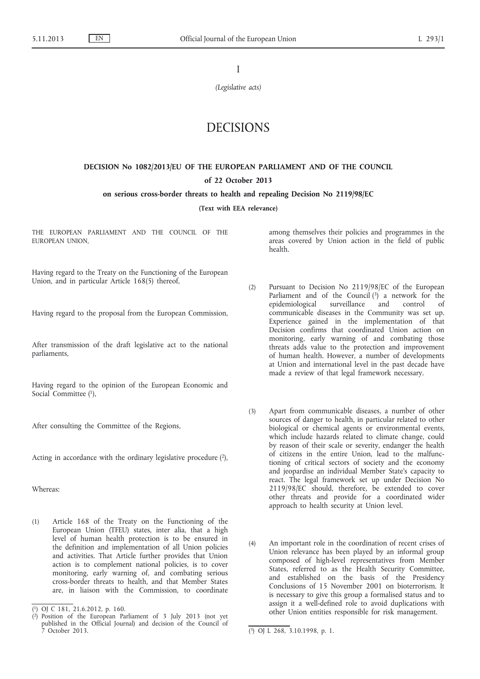I

*(Legislative acts)*

# DECISIONS

# **DECISION No 1082/2013/EU OF THE EUROPEAN PARLIAMENT AND OF THE COUNCIL**

# **of 22 October 2013**

# **on serious cross-border threats to health and repealing Decision No 2119/98/EC**

# **(Text with EEA relevance)**

THE EUROPEAN PARLIAMENT AND THE COUNCIL OF THE EUROPEAN UNION,

Having regard to the Treaty on the Functioning of the European Union, and in particular Article 168(5) thereof,

Having regard to the proposal from the European Commission,

After transmission of the draft legislative act to the national parliaments,

Having regard to the opinion of the European Economic and Social Committee (1),

After consulting the Committee of the Regions,

Acting in accordance with the ordinary legislative procedure (2),

Whereas:

(1) Article 168 of the Treaty on the Functioning of the European Union (TFEU) states, inter alia, that a high level of human health protection is to be ensured in the definition and implementation of all Union policies and activities. That Article further provides that Union action is to complement national policies, is to cover monitoring, early warning of, and combating serious cross-border threats to health, and that Member States are, in liaison with the Commission, to coordinate among themselves their policies and programmes in the areas covered by Union action in the field of public health.

- (2) Pursuant to Decision No 2119/98/EC of the European Parliament and of the Council  $(3)$  a network for the epidemiological surveillance and control of communicable diseases in the Community was set up. Experience gained in the implementation of that Decision confirms that coordinated Union action on monitoring, early warning of and combating those threats adds value to the protection and improvement of human health. However, a number of developments at Union and international level in the past decade have made a review of that legal framework necessary.
- (3) Apart from communicable diseases, a number of other sources of danger to health, in particular related to other biological or chemical agents or environmental events, which include hazards related to climate change, could by reason of their scale or severity, endanger the health of citizens in the entire Union, lead to the malfunctioning of critical sectors of society and the economy and jeopardise an individual Member State's capacity to react. The legal framework set up under Decision No 2119/98/EC should, therefore, be extended to cover other threats and provide for a coordinated wider approach to health security at Union level.
- (4) An important role in the coordination of recent crises of Union relevance has been played by an informal group composed of high-level representatives from Member States, referred to as the Health Security Committee, and established on the basis of the Presidency Conclusions of 15 November 2001 on bioterrorism. It is necessary to give this group a formalised status and to assign it a well-defined role to avoid duplications with other Union entities responsible for risk management.

<sup>(</sup> 1) OJ C 181, 21.6.2012, p. 160.

<sup>(</sup> 2) Position of the European Parliament of 3 July 2013 (not yet published in the Official Journal) and decision of the Council of 7 October 2013.

<sup>(3)</sup> OJ L 268, 3.10.1998, p. 1.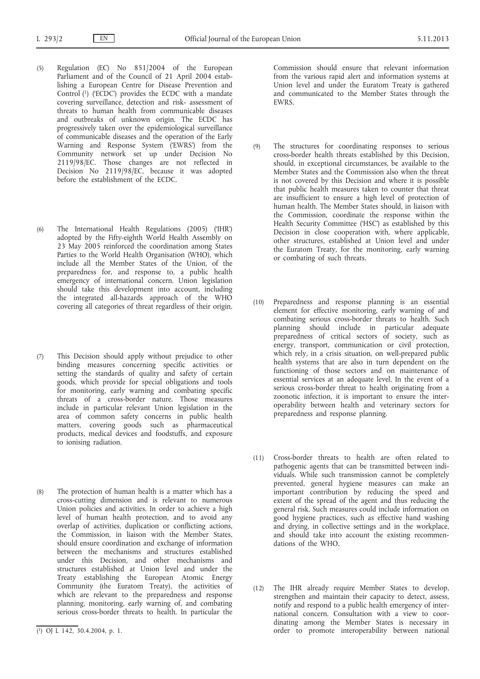- (5) Regulation (EC) No 851/2004 of the European Parliament and of the Council of 21 April 2004 establishing a European Centre for Disease Prevention and Control (1) ('ECDC') provides the ECDC with a mandate covering surveillance, detection and risk- assessment of threats to human health from communicable diseases and outbreaks of unknown origin. The ECDC has progressively taken over the epidemiological surveillance of communicable diseases and the operation of the Early Warning and Response System ('EWRS') from the Community network set up under Decision No 2119/98/EC. Those changes are not reflected in Decision No 2119/98/EC, because it was adopted before the establishment of the ECDC.
- (6) The International Health Regulations (2005) ('IHR') adopted by the Fifty-eighth World Health Assembly on 23 May 2005 reinforced the coordination among States Parties to the World Health Organisation (WHO), which include all the Member States of the Union, of the preparedness for, and response to, a public health emergency of international concern. Union legislation should take this development into account, including the integrated all-hazards approach of the WHO covering all categories of threat regardless of their origin.
- (7) This Decision should apply without prejudice to other binding measures concerning specific activities or setting the standards of quality and safety of certain goods, which provide for special obligations and tools for monitoring, early warning and combating specific threats of a cross-border nature. Those measures include in particular relevant Union legislation in the area of common safety concerns in public health matters, covering goods such as pharmaceutical products, medical devices and foodstuffs, and exposure to ionising radiation.
- (8) The protection of human health is a matter which has a cross-cutting dimension and is relevant to numerous Union policies and activities. In order to achieve a high level of human health protection, and to avoid any overlap of activities, duplication or conflicting actions, the Commission, in liaison with the Member States, should ensure coordination and exchange of information between the mechanisms and structures established under this Decision, and other mechanisms and structures established at Union level and under the Treaty establishing the European Atomic Energy Community (the Euratom Treaty), the activities of which are relevant to the preparedness and response planning, monitoring, early warning of, and combating serious cross-border threats to health. In particular the

Commission should ensure that relevant information from the various rapid alert and information systems at Union level and under the Euratom Treaty is gathered and communicated to the Member States through the EWRS.

- (9) The structures for coordinating responses to serious cross-border health threats established by this Decision, should, in exceptional circumstances, be available to the Member States and the Commission also when the threat is not covered by this Decision and where it is possible that public health measures taken to counter that threat are insufficient to ensure a high level of protection of human health. The Member States should, in liaison with the Commission, coordinate the response within the Health Security Committee ('HSC') as established by this Decision in close cooperation with, where applicable, other structures, established at Union level and under the Euratom Treaty, for the monitoring, early warning or combating of such threats.
- (10) Preparedness and response planning is an essential element for effective monitoring, early warning of and combating serious cross-border threats to health. Such planning should include in particular adequate preparedness of critical sectors of society, such as energy, transport, communication or civil protection, which rely, in a crisis situation, on well-prepared public health systems that are also in turn dependent on the functioning of those sectors and on maintenance of essential services at an adequate level. In the event of a serious cross-border threat to health originating from a zoonotic infection, it is important to ensure the interoperability between health and veterinary sectors for preparedness and response planning.
- (11) Cross-border threats to health are often related to pathogenic agents that can be transmitted between individuals. While such transmission cannot be completely prevented, general hygiene measures can make an important contribution by reducing the speed and extent of the spread of the agent and thus reducing the general risk. Such measures could include information on good hygiene practices, such as effective hand washing and drying, in collective settings and in the workplace, and should take into account the existing recommendations of the WHO.
- (12) The IHR already require Member States to develop, strengthen and maintain their capacity to detect, assess, notify and respond to a public health emergency of international concern. Consultation with a view to coordinating among the Member States is necessary in order to promote interoperability between national

<sup>(</sup> 1) OJ L 142, 30.4.2004, p. 1.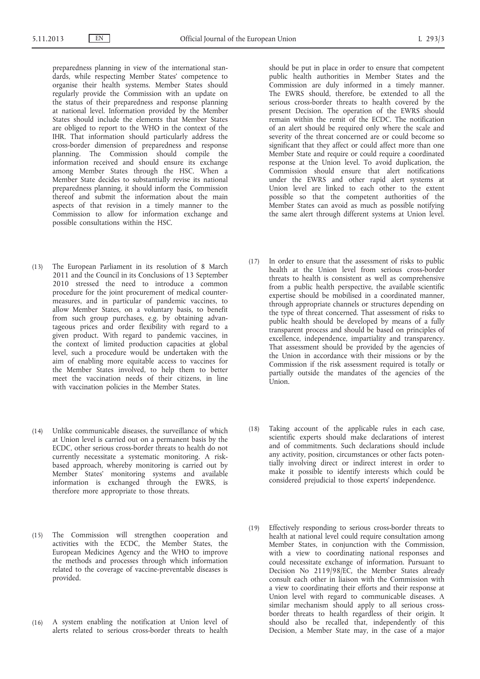preparedness planning in view of the international standards, while respecting Member States' competence to organise their health systems. Member States should regularly provide the Commission with an update on the status of their preparedness and response planning at national level. Information provided by the Member States should include the elements that Member States are obliged to report to the WHO in the context of the IHR. That information should particularly address the cross-border dimension of preparedness and response planning. The Commission should compile the information received and should ensure its exchange among Member States through the HSC. When a Member State decides to substantially revise its national preparedness planning, it should inform the Commission thereof and submit the information about the main aspects of that revision in a timely manner to the Commission to allow for information exchange and possible consultations within the HSC.

- (13) The European Parliament in its resolution of 8 March 2011 and the Council in its Conclusions of 13 September 2010 stressed the need to introduce a common procedure for the joint procurement of medical countermeasures, and in particular of pandemic vaccines, to allow Member States, on a voluntary basis, to benefit from such group purchases, e.g. by obtaining advantageous prices and order flexibility with regard to a given product. With regard to pandemic vaccines, in the context of limited production capacities at global level, such a procedure would be undertaken with the aim of enabling more equitable access to vaccines for the Member States involved, to help them to better meet the vaccination needs of their citizens, in line with vaccination policies in the Member States.
- (14) Unlike communicable diseases, the surveillance of which at Union level is carried out on a permanent basis by the ECDC, other serious cross-border threats to health do not currently necessitate a systematic monitoring. A riskbased approach, whereby monitoring is carried out by Member States' monitoring systems and available information is exchanged through the EWRS, is therefore more appropriate to those threats.
- (15) The Commission will strengthen cooperation and activities with the ECDC, the Member States, the European Medicines Agency and the WHO to improve the methods and processes through which information related to the coverage of vaccine-preventable diseases is provided.
- (16) A system enabling the notification at Union level of alerts related to serious cross-border threats to health

should be put in place in order to ensure that competent public health authorities in Member States and the Commission are duly informed in a timely manner. The EWRS should, therefore, be extended to all the serious cross-border threats to health covered by the present Decision. The operation of the EWRS should remain within the remit of the ECDC. The notification of an alert should be required only where the scale and severity of the threat concerned are or could become so significant that they affect or could affect more than one Member State and require or could require a coordinated response at the Union level. To avoid duplication, the Commission should ensure that alert notifications under the EWRS and other rapid alert systems at Union level are linked to each other to the extent possible so that the competent authorities of the Member States can avoid as much as possible notifying the same alert through different systems at Union level.

- (17) In order to ensure that the assessment of risks to public health at the Union level from serious cross-border threats to health is consistent as well as comprehensive from a public health perspective, the available scientific expertise should be mobilised in a coordinated manner, through appropriate channels or structures depending on the type of threat concerned. That assessment of risks to public health should be developed by means of a fully transparent process and should be based on principles of excellence, independence, impartiality and transparency. That assessment should be provided by the agencies of the Union in accordance with their missions or by the Commission if the risk assessment required is totally or partially outside the mandates of the agencies of the Union.
- (18) Taking account of the applicable rules in each case, scientific experts should make declarations of interest and of commitments. Such declarations should include any activity, position, circumstances or other facts potentially involving direct or indirect interest in order to make it possible to identify interests which could be considered prejudicial to those experts' independence.
- (19) Effectively responding to serious cross-border threats to health at national level could require consultation among Member States, in conjunction with the Commission, with a view to coordinating national responses and could necessitate exchange of information. Pursuant to Decision No 2119/98/EC, the Member States already consult each other in liaison with the Commission with a view to coordinating their efforts and their response at Union level with regard to communicable diseases. A similar mechanism should apply to all serious crossborder threats to health regardless of their origin. It should also be recalled that, independently of this Decision, a Member State may, in the case of a major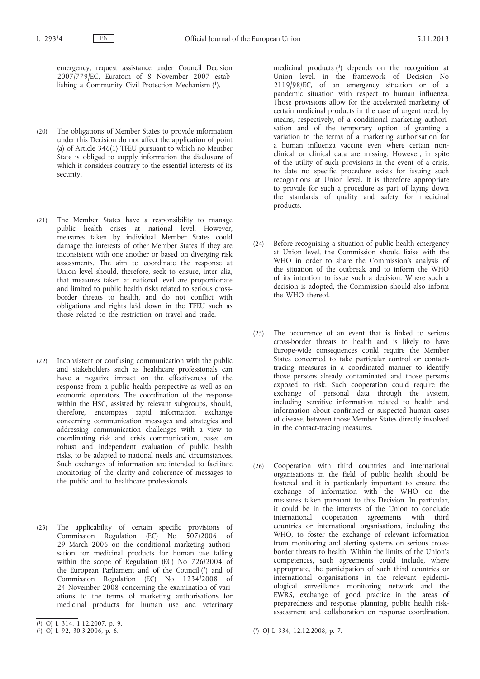emergency, request assistance under Council Decision 2007/779/EC, Euratom of 8 November 2007 establishing a Community Civil Protection Mechanism (1).

- (20) The obligations of Member States to provide information under this Decision do not affect the application of point (a) of Article 346(1) TFEU pursuant to which no Member State is obliged to supply information the disclosure of which it considers contrary to the essential interests of its security.
- (21) The Member States have a responsibility to manage public health crises at national level. However, measures taken by individual Member States could damage the interests of other Member States if they are inconsistent with one another or based on diverging risk assessments. The aim to coordinate the response at Union level should, therefore, seek to ensure, inter alia, that measures taken at national level are proportionate and limited to public health risks related to serious crossborder threats to health, and do not conflict with obligations and rights laid down in the TFEU such as those related to the restriction on travel and trade.
- (22) Inconsistent or confusing communication with the public and stakeholders such as healthcare professionals can have a negative impact on the effectiveness of the response from a public health perspective as well as on economic operators. The coordination of the response within the HSC, assisted by relevant subgroups, should, therefore, encompass rapid information exchange concerning communication messages and strategies and addressing communication challenges with a view to coordinating risk and crisis communication, based on robust and independent evaluation of public health risks, to be adapted to national needs and circumstances. Such exchanges of information are intended to facilitate monitoring of the clarity and coherence of messages to the public and to healthcare professionals.
- (23) The applicability of certain specific provisions of Commission Regulation (EC) No 507/2006 of 29 March 2006 on the conditional marketing authorisation for medicinal products for human use falling within the scope of Regulation (EC) No 726/2004 of the European Parliament and of the Council  $(2)$  and of Commission Regulation (EC) No 1234/2008 of 24 November 2008 concerning the examination of variations to the terms of marketing authorisations for medicinal products for human use and veterinary

medicinal products  $(3)$  depends on the recognition at Union level, in the framework of Decision No 2119/98/EC, of an emergency situation or of a pandemic situation with respect to human influenza. Those provisions allow for the accelerated marketing of certain medicinal products in the case of urgent need, by means, respectively, of a conditional marketing authorisation and of the temporary option of granting a variation to the terms of a marketing authorisation for a human influenza vaccine even where certain nonclinical or clinical data are missing. However, in spite of the utility of such provisions in the event of a crisis, to date no specific procedure exists for issuing such recognitions at Union level. It is therefore appropriate to provide for such a procedure as part of laying down the standards of quality and safety for medicinal products.

- (24) Before recognising a situation of public health emergency at Union level, the Commission should liaise with the WHO in order to share the Commission's analysis of the situation of the outbreak and to inform the WHO of its intention to issue such a decision. Where such a decision is adopted, the Commission should also inform the WHO thereof.
- (25) The occurrence of an event that is linked to serious cross-border threats to health and is likely to have Europe-wide consequences could require the Member States concerned to take particular control or contacttracing measures in a coordinated manner to identify those persons already contaminated and those persons exposed to risk. Such cooperation could require the exchange of personal data through the system, including sensitive information related to health and information about confirmed or suspected human cases of disease, between those Member States directly involved in the contact-tracing measures.
- (26) Cooperation with third countries and international organisations in the field of public health should be fostered and it is particularly important to ensure the exchange of information with the WHO on the measures taken pursuant to this Decision. In particular, it could be in the interests of the Union to conclude international cooperation agreements with third countries or international organisations, including the WHO, to foster the exchange of relevant information from monitoring and alerting systems on serious crossborder threats to health. Within the limits of the Union's competences, such agreements could include, where appropriate, the participation of such third countries or international organisations in the relevant epidemiological surveillance monitoring network and the EWRS, exchange of good practice in the areas of preparedness and response planning, public health riskassessment and collaboration on response coordination.

<sup>(</sup> 1) OJ L 314, 1.12.2007, p. 9.

 $(2)$  OJ L 92, 30.3.2006, p. 6.

 $\overline{(^3)}$  OJ L 334, 12.12.2008, p. 7.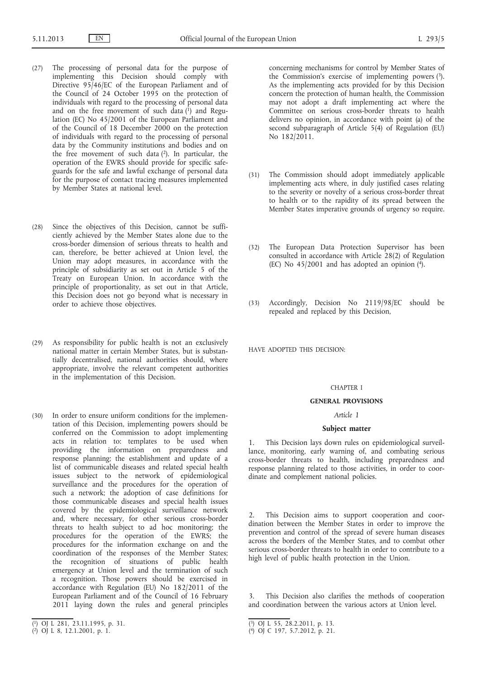- (27) The processing of personal data for the purpose of implementing this Decision should comply with Directive 95/46/EC of the European Parliament and of the Council of 24 October 1995 on the protection of individuals with regard to the processing of personal data and on the free movement of such data  $(1)$  and Regulation (EC) No 45/2001 of the European Parliament and of the Council of 18 December 2000 on the protection of individuals with regard to the processing of personal data by the Community institutions and bodies and on the free movement of such data (2). In particular, the operation of the EWRS should provide for specific safeguards for the safe and lawful exchange of personal data for the purpose of contact tracing measures implemented by Member States at national level.
- (28) Since the objectives of this Decision, cannot be sufficiently achieved by the Member States alone due to the cross-border dimension of serious threats to health and can, therefore, be better achieved at Union level, the Union may adopt measures, in accordance with the principle of subsidiarity as set out in Article 5 of the Treaty on European Union. In accordance with the principle of proportionality, as set out in that Article, this Decision does not go beyond what is necessary in order to achieve those objectives.
- (29) As responsibility for public health is not an exclusively national matter in certain Member States, but is substantially decentralised, national authorities should, where appropriate, involve the relevant competent authorities in the implementation of this Decision.
- (30) In order to ensure uniform conditions for the implementation of this Decision, implementing powers should be conferred on the Commission to adopt implementing acts in relation to: templates to be used when providing the information on preparedness and response planning; the establishment and update of a list of communicable diseases and related special health issues subject to the network of epidemiological surveillance and the procedures for the operation of such a network; the adoption of case definitions for those communicable diseases and special health issues covered by the epidemiological surveillance network and, where necessary, for other serious cross-border threats to health subject to ad hoc monitoring; the procedures for the operation of the EWRS; the procedures for the information exchange on and the coordination of the responses of the Member States; the recognition of situations of public health emergency at Union level and the termination of such a recognition. Those powers should be exercised in accordance with Regulation (EU) No 182/2011 of the European Parliament and of the Council of 16 February 2011 laying down the rules and general principles

concerning mechanisms for control by Member States of the Commission's exercise of implementing powers  $(3)$ . As the implementing acts provided for by this Decision concern the protection of human health, the Commission may not adopt a draft implementing act where the Committee on serious cross-border threats to health delivers no opinion, in accordance with point (a) of the second subparagraph of Article 5(4) of Regulation (EU) No 182/2011.

- (31) The Commission should adopt immediately applicable implementing acts where, in duly justified cases relating to the severity or novelty of a serious cross-border threat to health or to the rapidity of its spread between the Member States imperative grounds of urgency so require.
- (32) The European Data Protection Supervisor has been consulted in accordance with Article 28(2) of Regulation (EC) No  $45/2001$  and has adopted an opinion  $(4)$ .
- (33) Accordingly, Decision No 2119/98/EC should be repealed and replaced by this Decision,

HAVE ADOPTED THIS DECISION:

#### CHAPTER I

### **GENERAL PROVISIONS**

# *Article 1*

# **Subject matter**

This Decision lays down rules on epidemiological surveillance, monitoring, early warning of, and combating serious cross-border threats to health, including preparedness and response planning related to those activities, in order to coordinate and complement national policies.

This Decision aims to support cooperation and coordination between the Member States in order to improve the prevention and control of the spread of severe human diseases across the borders of the Member States, and to combat other serious cross-border threats to health in order to contribute to a high level of public health protection in the Union.

3. This Decision also clarifies the methods of cooperation and coordination between the various actors at Union level.

<sup>(</sup> 1) OJ L 281, 23.11.1995, p. 31.

<sup>(</sup> 2) OJ L 8, 12.1.2001, p. 1.

<sup>(</sup> 3) OJ L 55, 28.2.2011, p. 13.

<sup>(</sup> 4) OJ C 197, 5.7.2012, p. 21.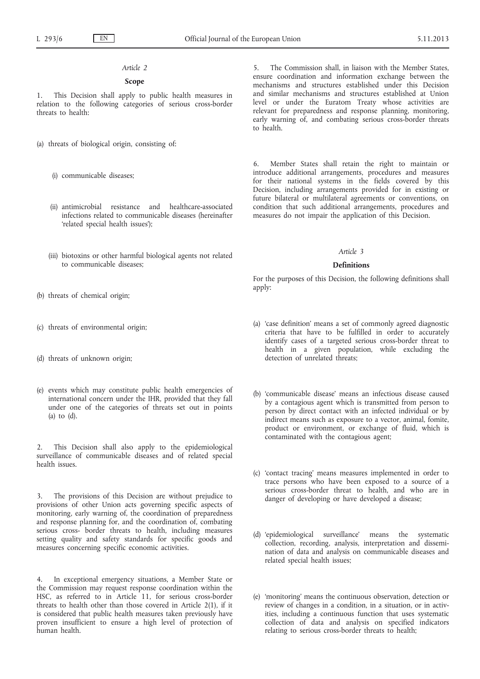# *Article 2*

#### **Scope**

1. This Decision shall apply to public health measures in relation to the following categories of serious cross-border threats to health:

(a) threats of biological origin, consisting of:

- (i) communicable diseases;
- (ii) antimicrobial resistance and healthcare-associated infections related to communicable diseases (hereinafter 'related special health issues');
- (iii) biotoxins or other harmful biological agents not related to communicable diseases;
- (b) threats of chemical origin;
- (c) threats of environmental origin;
- (d) threats of unknown origin;
- (e) events which may constitute public health emergencies of international concern under the IHR, provided that they fall under one of the categories of threats set out in points (a) to (d).

2. This Decision shall also apply to the epidemiological surveillance of communicable diseases and of related special health issues.

3. The provisions of this Decision are without prejudice to provisions of other Union acts governing specific aspects of monitoring, early warning of, the coordination of preparedness and response planning for, and the coordination of, combating serious cross- border threats to health, including measures setting quality and safety standards for specific goods and measures concerning specific economic activities.

4. In exceptional emergency situations, a Member State or the Commission may request response coordination within the HSC, as referred to in Article 11, for serious cross-border threats to health other than those covered in Article 2(1), if it is considered that public health measures taken previously have proven insufficient to ensure a high level of protection of human health.

5. The Commission shall, in liaison with the Member States, ensure coordination and information exchange between the mechanisms and structures established under this Decision and similar mechanisms and structures established at Union level or under the Euratom Treaty whose activities are relevant for preparedness and response planning, monitoring, early warning of, and combating serious cross-border threats to health.

6. Member States shall retain the right to maintain or introduce additional arrangements, procedures and measures for their national systems in the fields covered by this Decision, including arrangements provided for in existing or future bilateral or multilateral agreements or conventions, on condition that such additional arrangements, procedures and measures do not impair the application of this Decision.

# *Article 3*

#### **Definitions**

For the purposes of this Decision, the following definitions shall apply:

- (a) 'case definition' means a set of commonly agreed diagnostic criteria that have to be fulfilled in order to accurately identify cases of a targeted serious cross-border threat to health in a given population, while excluding the detection of unrelated threats;
- (b) 'communicable disease' means an infectious disease caused by a contagious agent which is transmitted from person to person by direct contact with an infected individual or by indirect means such as exposure to a vector, animal, fomite, product or environment, or exchange of fluid, which is contaminated with the contagious agent;
- (c) 'contact tracing' means measures implemented in order to trace persons who have been exposed to a source of a serious cross-border threat to health, and who are in danger of developing or have developed a disease;
- (d) 'epidemiological surveillance' means the systematic collection, recording, analysis, interpretation and dissemination of data and analysis on communicable diseases and related special health issues;
- (e) 'monitoring' means the continuous observation, detection or review of changes in a condition, in a situation, or in activities, including a continuous function that uses systematic collection of data and analysis on specified indicators relating to serious cross-border threats to health;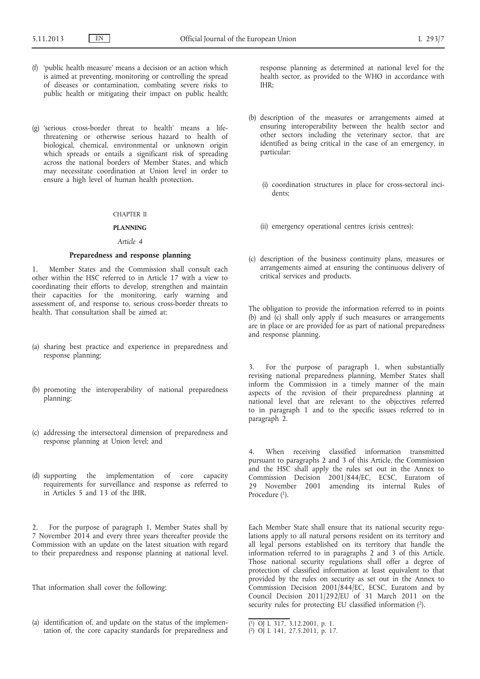- (f) 'public health measure' means a decision or an action which is aimed at preventing, monitoring or controlling the spread of diseases or contamination, combating severe risks to public health or mitigating their impact on public health;
- (g) 'serious cross-border threat to health' means a lifethreatening or otherwise serious hazard to health of biological, chemical, environmental or unknown origin which spreads or entails a significant risk of spreading across the national borders of Member States, and which may necessitate coordination at Union level in order to ensure a high level of human health protection.

#### CHAPTER II

#### **PLANNING**

# *Article 4*

# **Preparedness and response planning**

1. Member States and the Commission shall consult each other within the HSC referred to in Article 17 with a view to coordinating their efforts to develop, strengthen and maintain their capacities for the monitoring, early warning and assessment of, and response to, serious cross-border threats to health. That consultation shall be aimed at:

- (a) sharing best practice and experience in preparedness and response planning;
- (b) promoting the interoperability of national preparedness planning;
- (c) addressing the intersectoral dimension of preparedness and response planning at Union level; and
- (d) supporting the implementation of core capacity requirements for surveillance and response as referred to in Articles 5 and 13 of the IHR.

For the purpose of paragraph 1, Member States shall by 7 November 2014 and every three years thereafter provide the Commission with an update on the latest situation with regard to their preparedness and response planning at national level.

That information shall cover the following:

(a) identification of, and update on the status of the implementation of, the core capacity standards for preparedness and response planning as determined at national level for the health sector, as provided to the WHO in accordance with IHR;

- (b) description of the measures or arrangements aimed at ensuring interoperability between the health sector and other sectors including the veterinary sector, that are identified as being critical in the case of an emergency, in particular:
	- (i) coordination structures in place for cross-sectoral incidents;
	- (ii) emergency operational centres (crisis centres);
- (c) description of the business continuity plans, measures or arrangements aimed at ensuring the continuous delivery of critical services and products.

The obligation to provide the information referred to in points (b) and (c) shall only apply if such measures or arrangements are in place or are provided for as part of national preparedness and response planning.

3. For the purpose of paragraph 1, when substantially revising national preparedness planning, Member States shall inform the Commission in a timely manner of the main aspects of the revision of their preparedness planning at national level that are relevant to the objectives referred to in paragraph 1 and to the specific issues referred to in paragraph 2.

4. When receiving classified information transmitted pursuant to paragraphs 2 and 3 of this Article, the Commission and the HSC shall apply the rules set out in the Annex to Commission Decision 2001/844/EC, ECSC, Euratom of 29 November 2001 amending its internal Rules of Procedure (1).

Each Member State shall ensure that its national security regulations apply to all natural persons resident on its territory and all legal persons established on its territory that handle the information referred to in paragraphs 2 and 3 of this Article. Those national security regulations shall offer a degree of protection of classified information at least equivalent to that provided by the rules on security as set out in the Annex to Commission Decision 2001/844/EC, ECSC, Euratom and by Council Decision 2011/292/EU of 31 March 2011 on the security rules for protecting EU classified information  $(2)$ .

<sup>(</sup> 1) OJ L 317, 3.12.2001, p. 1.

<sup>(</sup> 2) OJ L 141, 27.5.2011, p. 17.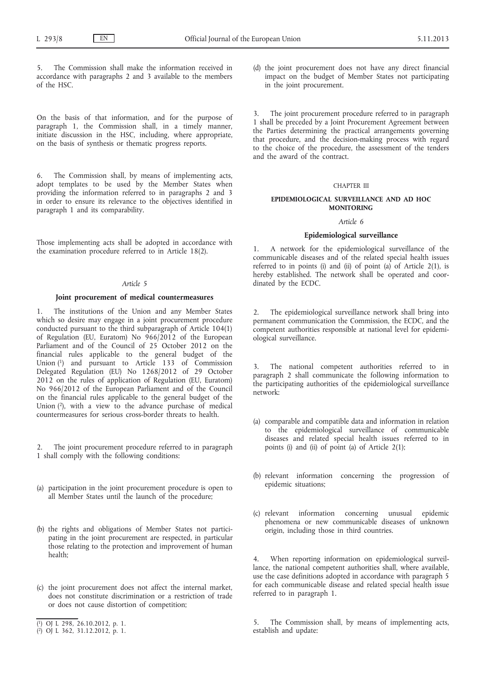5. The Commission shall make the information received in accordance with paragraphs 2 and 3 available to the members of the HSC.

On the basis of that information, and for the purpose of paragraph 1, the Commission shall, in a timely manner, initiate discussion in the HSC, including, where appropriate, on the basis of synthesis or thematic progress reports.

6. The Commission shall, by means of implementing acts, adopt templates to be used by the Member States when providing the information referred to in paragraphs 2 and 3 in order to ensure its relevance to the objectives identified in paragraph 1 and its comparability.

Those implementing acts shall be adopted in accordance with the examination procedure referred to in Article 18(2).

#### *Article 5*

#### **Joint procurement of medical countermeasures**

The institutions of the Union and any Member States which so desire may engage in a joint procurement procedure conducted pursuant to the third subparagraph of Article 104(1) of Regulation (EU, Euratom) No 966/2012 of the European Parliament and of the Council of 25 October 2012 on the financial rules applicable to the general budget of the Union (1) and pursuant to Article 133 of Commission Delegated Regulation (EU) No 1268/2012 of 29 October 2012 on the rules of application of Regulation (EU, Euratom) No 966/2012 of the European Parliament and of the Council on the financial rules applicable to the general budget of the Union  $(2)$ , with a view to the advance purchase of medical countermeasures for serious cross-border threats to health.

2. The joint procurement procedure referred to in paragraph 1 shall comply with the following conditions:

- (a) participation in the joint procurement procedure is open to all Member States until the launch of the procedure;
- (b) the rights and obligations of Member States not participating in the joint procurement are respected, in particular those relating to the protection and improvement of human health;
- (c) the joint procurement does not affect the internal market, does not constitute discrimination or a restriction of trade or does not cause distortion of competition;
- ( 1) OJ L 298, 26.10.2012, p. 1.

(d) the joint procurement does not have any direct financial impact on the budget of Member States not participating in the joint procurement.

3. The joint procurement procedure referred to in paragraph 1 shall be preceded by a Joint Procurement Agreement between the Parties determining the practical arrangements governing that procedure, and the decision-making process with regard to the choice of the procedure, the assessment of the tenders and the award of the contract.

#### CHAPTER III

# **EPIDEMIOLOGICAL SURVEILLANCE AND AD HOC MONITORING**

#### *Article 6*

#### **Epidemiological surveillance**

1. A network for the epidemiological surveillance of the communicable diseases and of the related special health issues referred to in points (i) and (ii) of point (a) of Article 2(1), is hereby established. The network shall be operated and coordinated by the ECDC.

2. The epidemiological surveillance network shall bring into permanent communication the Commission, the ECDC, and the competent authorities responsible at national level for epidemiological surveillance.

3. The national competent authorities referred to in paragraph 2 shall communicate the following information to the participating authorities of the epidemiological surveillance network:

- (a) comparable and compatible data and information in relation to the epidemiological surveillance of communicable diseases and related special health issues referred to in points (i) and (ii) of point (a) of Article 2(1);
- (b) relevant information concerning the progression of epidemic situations;
- (c) relevant information concerning unusual epidemic phenomena or new communicable diseases of unknown origin, including those in third countries.

4. When reporting information on epidemiological surveillance, the national competent authorities shall, where available, use the case definitions adopted in accordance with paragraph 5 for each communicable disease and related special health issue referred to in paragraph 1.

The Commission shall, by means of implementing acts, establish and update:

<sup>(</sup> 2) OJ L 362, 31.12.2012, p. 1.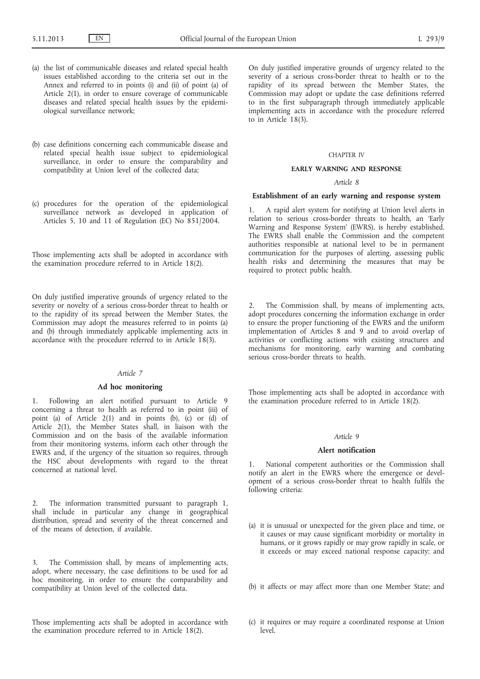- (a) the list of communicable diseases and related special health issues established according to the criteria set out in the Annex and referred to in points (i) and (ii) of point (a) of Article 2(1), in order to ensure coverage of communicable diseases and related special health issues by the epidemiological surveillance network;
- (b) case definitions concerning each communicable disease and related special health issue subject to epidemiological surveillance, in order to ensure the comparability and compatibility at Union level of the collected data;
- (c) procedures for the operation of the epidemiological surveillance network as developed in application of Articles 5, 10 and 11 of Regulation (EC) No  $851/2004$ .

Those implementing acts shall be adopted in accordance with the examination procedure referred to in Article 18(2).

On duly justified imperative grounds of urgency related to the severity or novelty of a serious cross-border threat to health or to the rapidity of its spread between the Member States, the Commission may adopt the measures referred to in points (a) and (b) through immediately applicable implementing acts in accordance with the procedure referred to in Article 18(3).

#### *Article 7*

# **Ad hoc monitoring**

1. Following an alert notified pursuant to Article 9 concerning a threat to health as referred to in point (iii) of point (a) of Article 2(1) and in points (b), (c) or (d) of Article 2(1), the Member States shall, in liaison with the Commission and on the basis of the available information from their monitoring systems, inform each other through the EWRS and, if the urgency of the situation so requires, through the HSC about developments with regard to the threat concerned at national level.

2. The information transmitted pursuant to paragraph 1, shall include in particular any change in geographical distribution, spread and severity of the threat concerned and of the means of detection, if available.

3. The Commission shall, by means of implementing acts, adopt, where necessary, the case definitions to be used for ad hoc monitoring, in order to ensure the comparability and compatibility at Union level of the collected data.

Those implementing acts shall be adopted in accordance with the examination procedure referred to in Article 18(2).

On duly justified imperative grounds of urgency related to the severity of a serious cross-border threat to health or to the rapidity of its spread between the Member States, the Commission may adopt or update the case definitions referred to in the first subparagraph through immediately applicable implementing acts in accordance with the procedure referred to in Article 18(3).

# CHAPTER IV

#### **EARLY WARNING AND RESPONSE**

#### *Article 8*

#### **Establishment of an early warning and response system**

1. A rapid alert system for notifying at Union level alerts in relation to serious cross-border threats to health, an 'Early Warning and Response System' (EWRS), is hereby established. The EWRS shall enable the Commission and the competent authorities responsible at national level to be in permanent communication for the purposes of alerting, assessing public health risks and determining the measures that may be required to protect public health.

2. The Commission shall, by means of implementing acts, adopt procedures concerning the information exchange in order to ensure the proper functioning of the EWRS and the uniform implementation of Articles 8 and 9 and to avoid overlap of activities or conflicting actions with existing structures and mechanisms for monitoring, early warning and combating serious cross-border threats to health.

Those implementing acts shall be adopted in accordance with the examination procedure referred to in Article 18(2).

#### *Article 9*

#### **Alert notification**

1. National competent authorities or the Commission shall notify an alert in the EWRS where the emergence or development of a serious cross-border threat to health fulfils the following criteria:

- (a) it is unusual or unexpected for the given place and time, or it causes or may cause significant morbidity or mortality in humans, or it grows rapidly or may grow rapidly in scale, or it exceeds or may exceed national response capacity; and
- (b) it affects or may affect more than one Member State; and
- (c) it requires or may require a coordinated response at Union level.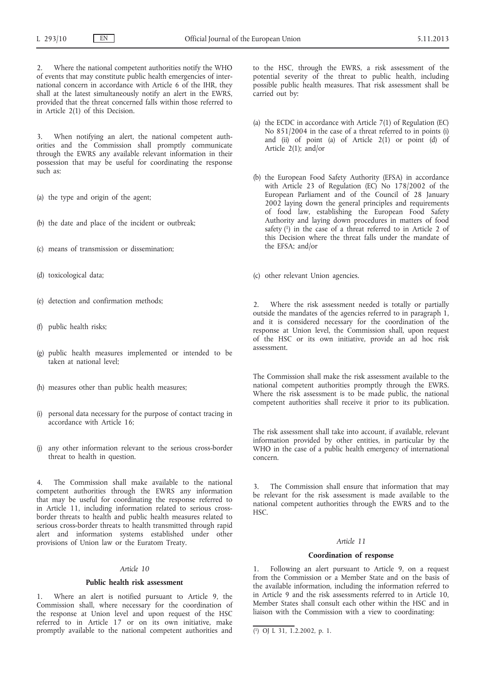2. Where the national competent authorities notify the WHO of events that may constitute public health emergencies of international concern in accordance with Article 6 of the IHR, they shall at the latest simultaneously notify an alert in the EWRS, provided that the threat concerned falls within those referred to in Article 2(1) of this Decision.

3. When notifying an alert, the national competent authorities and the Commission shall promptly communicate through the EWRS any available relevant information in their possession that may be useful for coordinating the response such as:

- (a) the type and origin of the agent;
- (b) the date and place of the incident or outbreak;
- (c) means of transmission or dissemination;
- (d) toxicological data;
- (e) detection and confirmation methods;
- (f) public health risks;
- (g) public health measures implemented or intended to be taken at national level;
- (h) measures other than public health measures;
- (i) personal data necessary for the purpose of contact tracing in accordance with Article 16;
- (j) any other information relevant to the serious cross-border threat to health in question.

4. The Commission shall make available to the national competent authorities through the EWRS any information that may be useful for coordinating the response referred to in Article 11, including information related to serious crossborder threats to health and public health measures related to serious cross-border threats to health transmitted through rapid alert and information systems established under other provisions of Union law or the Euratom Treaty.

# *Article 10*

# **Public health risk assessment**

Where an alert is notified pursuant to Article 9, the Commission shall, where necessary for the coordination of the response at Union level and upon request of the HSC referred to in Article 17 or on its own initiative, make promptly available to the national competent authorities and

to the HSC, through the EWRS, a risk assessment of the potential severity of the threat to public health, including possible public health measures. That risk assessment shall be carried out by:

- (a) the ECDC in accordance with Article 7(1) of Regulation (EC) No 851/2004 in the case of a threat referred to in points (i) and (ii) of point (a) of Article 2(1) or point (d) of Article 2(1); and/or
- (b) the European Food Safety Authority (EFSA) in accordance with Article 23 of Regulation (EC) No 178/2002 of the European Parliament and of the Council of 28 January 2002 laying down the general principles and requirements of food law, establishing the European Food Safety Authority and laying down procedures in matters of food safety  $(1)$  in the case of a threat referred to in Article 2 of this Decision where the threat falls under the mandate of the EFSA; and/or

(c) other relevant Union agencies.

2. Where the risk assessment needed is totally or partially outside the mandates of the agencies referred to in paragraph 1, and it is considered necessary for the coordination of the response at Union level, the Commission shall, upon request of the HSC or its own initiative, provide an ad hoc risk assessment.

The Commission shall make the risk assessment available to the national competent authorities promptly through the EWRS. Where the risk assessment is to be made public, the national competent authorities shall receive it prior to its publication.

The risk assessment shall take into account, if available, relevant information provided by other entities, in particular by the WHO in the case of a public health emergency of international concern.

The Commission shall ensure that information that may be relevant for the risk assessment is made available to the national competent authorities through the EWRS and to the HSC.

# *Article 11*

#### **Coordination of response**

1. Following an alert pursuant to Article 9, on a request from the Commission or a Member State and on the basis of the available information, including the information referred to in Article 9 and the risk assessments referred to in Article 10, Member States shall consult each other within the HSC and in liaison with the Commission with a view to coordinating:

<sup>(</sup> 1) OJ L 31, 1.2.2002, p. 1.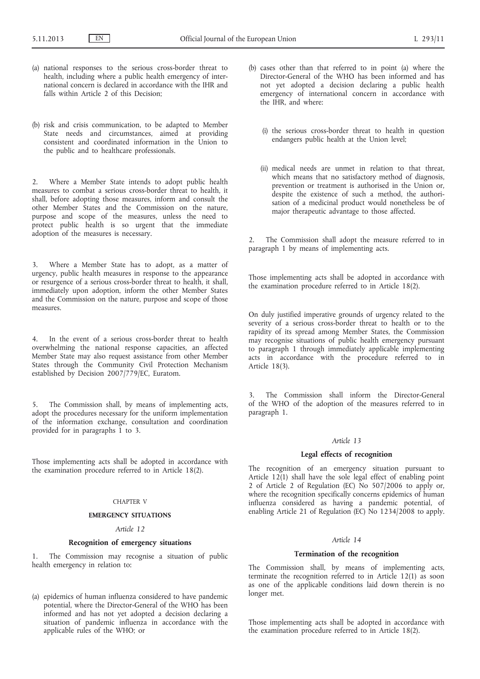- (a) national responses to the serious cross-border threat to health, including where a public health emergency of international concern is declared in accordance with the IHR and falls within Article 2 of this Decision;
- (b) risk and crisis communication, to be adapted to Member State needs and circumstances, aimed at providing consistent and coordinated information in the Union to the public and to healthcare professionals.

2. Where a Member State intends to adopt public health measures to combat a serious cross-border threat to health, it shall, before adopting those measures, inform and consult the other Member States and the Commission on the nature, purpose and scope of the measures, unless the need to protect public health is so urgent that the immediate adoption of the measures is necessary.

Where a Member State has to adopt, as a matter of urgency, public health measures in response to the appearance or resurgence of a serious cross-border threat to health, it shall, immediately upon adoption, inform the other Member States and the Commission on the nature, purpose and scope of those measures.

4. In the event of a serious cross-border threat to health overwhelming the national response capacities, an affected Member State may also request assistance from other Member States through the Community Civil Protection Mechanism established by Decision 2007/779/EC, Euratom.

5. The Commission shall, by means of implementing acts, adopt the procedures necessary for the uniform implementation of the information exchange, consultation and coordination provided for in paragraphs 1 to 3.

Those implementing acts shall be adopted in accordance with the examination procedure referred to in Article 18(2).

# CHAPTER V

# **EMERGENCY SITUATIONS**

# *Article 12*

#### **Recognition of emergency situations**

1. The Commission may recognise a situation of public health emergency in relation to:

(a) epidemics of human influenza considered to have pandemic potential, where the Director-General of the WHO has been informed and has not yet adopted a decision declaring a situation of pandemic influenza in accordance with the applicable rules of the WHO; or

- (b) cases other than that referred to in point (a) where the Director-General of the WHO has been informed and has not yet adopted a decision declaring a public health emergency of international concern in accordance with the IHR, and where:
	- (i) the serious cross-border threat to health in question endangers public health at the Union level;
	- (ii) medical needs are unmet in relation to that threat, which means that no satisfactory method of diagnosis, prevention or treatment is authorised in the Union or, despite the existence of such a method, the authorisation of a medicinal product would nonetheless be of major therapeutic advantage to those affected.

2. The Commission shall adopt the measure referred to in paragraph 1 by means of implementing acts.

Those implementing acts shall be adopted in accordance with the examination procedure referred to in Article 18(2).

On duly justified imperative grounds of urgency related to the severity of a serious cross-border threat to health or to the rapidity of its spread among Member States, the Commission may recognise situations of public health emergency pursuant to paragraph 1 through immediately applicable implementing acts in accordance with the procedure referred to in Article 18(3).

3. The Commission shall inform the Director-General of the WHO of the adoption of the measures referred to in paragraph 1.

#### *Article 13*

# **Legal effects of recognition**

The recognition of an emergency situation pursuant to Article  $12(1)$  shall have the sole legal effect of enabling point 2 of Article 2 of Regulation (EC) No 507/2006 to apply or, where the recognition specifically concerns epidemics of human influenza considered as having a pandemic potential, of enabling Article 21 of Regulation (EC) No 1234/2008 to apply.

#### *Article 14*

# **Termination of the recognition**

The Commission shall, by means of implementing acts, terminate the recognition referred to in Article 12(1) as soon as one of the applicable conditions laid down therein is no longer met.

Those implementing acts shall be adopted in accordance with the examination procedure referred to in Article 18(2).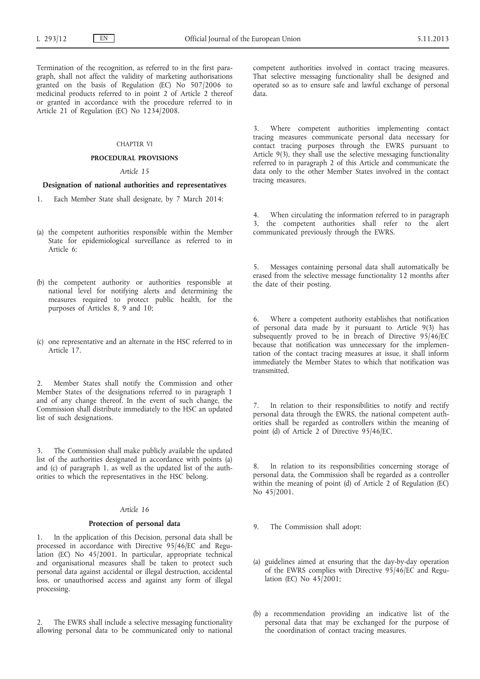Termination of the recognition, as referred to in the first paragraph, shall not affect the validity of marketing authorisations granted on the basis of Regulation (EC) No 507/2006 to medicinal products referred to in point 2 of Article 2 thereof or granted in accordance with the procedure referred to in Article 21 of Regulation (EC) No 1234/2008.

#### CHAPTER VI

#### **PROCEDURAL PROVISIONS**

# *Article 15*

# **Designation of national authorities and representatives**

- 1. Each Member State shall designate, by 7 March 2014:
- (a) the competent authorities responsible within the Member State for epidemiological surveillance as referred to in Article 6;
- (b) the competent authority or authorities responsible at national level for notifying alerts and determining the measures required to protect public health, for the purposes of Articles 8, 9 and 10;
- (c) one representative and an alternate in the HSC referred to in Article 17.

Member States shall notify the Commission and other Member States of the designations referred to in paragraph 1 and of any change thereof. In the event of such change, the Commission shall distribute immediately to the HSC an updated list of such designations.

3. The Commission shall make publicly available the updated list of the authorities designated in accordance with points (a) and (c) of paragraph 1, as well as the updated list of the authorities to which the representatives in the HSC belong.

# *Article 16*

#### **Protection of personal data**

1. In the application of this Decision, personal data shall be processed in accordance with Directive 95/46/EC and Regulation (EC) No 45/2001. In particular, appropriate technical and organisational measures shall be taken to protect such personal data against accidental or illegal destruction, accidental loss, or unauthorised access and against any form of illegal processing.

The EWRS shall include a selective messaging functionality allowing personal data to be communicated only to national competent authorities involved in contact tracing measures. That selective messaging functionality shall be designed and operated so as to ensure safe and lawful exchange of personal data.

3. Where competent authorities implementing contact tracing measures communicate personal data necessary for contact tracing purposes through the EWRS pursuant to Article 9(3), they shall use the selective messaging functionality referred to in paragraph 2 of this Article and communicate the data only to the other Member States involved in the contact tracing measures.

4. When circulating the information referred to in paragraph 3, the competent authorities shall refer to the alert communicated previously through the EWRS.

5. Messages containing personal data shall automatically be erased from the selective message functionality 12 months after the date of their posting.

Where a competent authority establishes that notification of personal data made by it pursuant to Article 9(3) has subsequently proved to be in breach of Directive 95/46/EC because that notification was unnecessary for the implementation of the contact tracing measures at issue, it shall inform immediately the Member States to which that notification was transmitted.

7. In relation to their responsibilities to notify and rectify personal data through the EWRS, the national competent authorities shall be regarded as controllers within the meaning of point (d) of Article 2 of Directive 95/46/EC.

In relation to its responsibilities concerning storage of personal data, the Commission shall be regarded as a controller within the meaning of point (d) of Article 2 of Regulation (EC) No 45/2001.

9. The Commission shall adopt:

- (a) guidelines aimed at ensuring that the day-by-day operation of the EWRS complies with Directive 95/46/EC and Regulation (EC) No  $45/2001$ :
- (b) a recommendation providing an indicative list of the personal data that may be exchanged for the purpose of the coordination of contact tracing measures.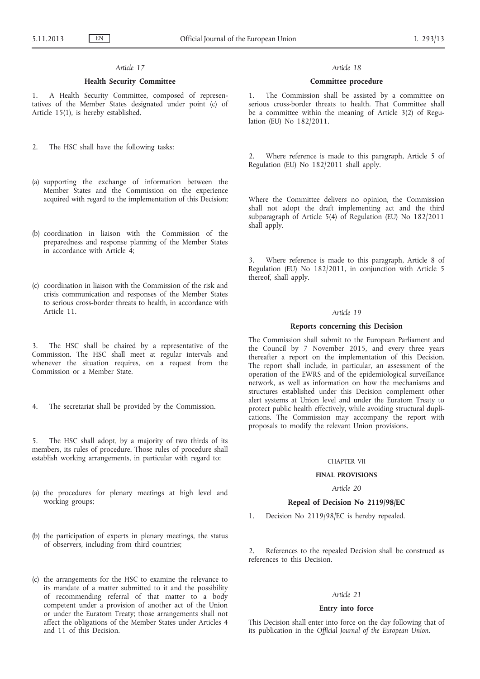# *Article 17*

# **Health Security Committee**

1. A Health Security Committee, composed of representatives of the Member States designated under point (c) of Article 15(1), is hereby established.

2. The HSC shall have the following tasks:

- (a) supporting the exchange of information between the Member States and the Commission on the experience acquired with regard to the implementation of this Decision;
- (b) coordination in liaison with the Commission of the preparedness and response planning of the Member States in accordance with Article 4;
- (c) coordination in liaison with the Commission of the risk and crisis communication and responses of the Member States to serious cross-border threats to health, in accordance with Article 11.
- 3. The HSC shall be chaired by a representative of the Commission. The HSC shall meet at regular intervals and whenever the situation requires, on a request from the Commission or a Member State.
- 4. The secretariat shall be provided by the Commission.

5. The HSC shall adopt, by a majority of two thirds of its members, its rules of procedure. Those rules of procedure shall establish working arrangements, in particular with regard to:

- (a) the procedures for plenary meetings at high level and working groups;
- (b) the participation of experts in plenary meetings, the status of observers, including from third countries;
- (c) the arrangements for the HSC to examine the relevance to its mandate of a matter submitted to it and the possibility of recommending referral of that matter to a body competent under a provision of another act of the Union or under the Euratom Treaty; those arrangements shall not affect the obligations of the Member States under Articles 4 and 11 of this Decision.

#### *Article 18*

#### **Committee procedure**

1. The Commission shall be assisted by a committee on serious cross-border threats to health. That Committee shall be a committee within the meaning of Article 3(2) of Regulation (EU) No 182/2011.

Where reference is made to this paragraph, Article 5 of Regulation (EU) No 182/2011 shall apply.

Where the Committee delivers no opinion, the Commission shall not adopt the draft implementing act and the third subparagraph of Article 5(4) of Regulation (EU) No 182/2011 shall apply.

3. Where reference is made to this paragraph, Article 8 of Regulation (EU) No 182/2011, in conjunction with Article 5 thereof, shall apply.

# *Article 19*

#### **Reports concerning this Decision**

The Commission shall submit to the European Parliament and the Council by 7 November 2015, and every three years thereafter a report on the implementation of this Decision. The report shall include, in particular, an assessment of the operation of the EWRS and of the epidemiological surveillance network, as well as information on how the mechanisms and structures established under this Decision complement other alert systems at Union level and under the Euratom Treaty to protect public health effectively, while avoiding structural duplications. The Commission may accompany the report with proposals to modify the relevant Union provisions.

#### CHAPTER VII

#### **FINAL PROVISIONS**

# *Article 20*

#### **Repeal of Decision No 2119/98/EC**

1. Decision No 2119/98/EC is hereby repealed.

2. References to the repealed Decision shall be construed as references to this Decision.

# *Article 21*

# **Entry into force**

This Decision shall enter into force on the day following that of its publication in the *Official Journal of the European Union*.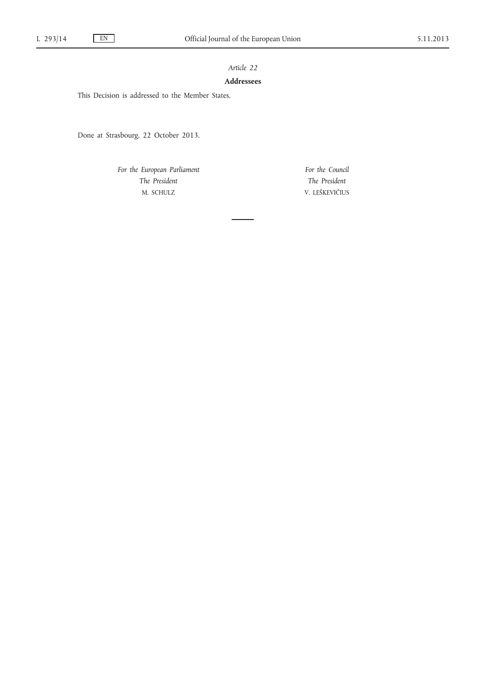# *Article 22*

# **Addressees**

This Decision is addressed to the Member States.

Done at Strasbourg, 22 October 2013.

*For the European Parliament The President* M. SCHULZ

*For the Council The President* V. LEŠKEVIČIUS